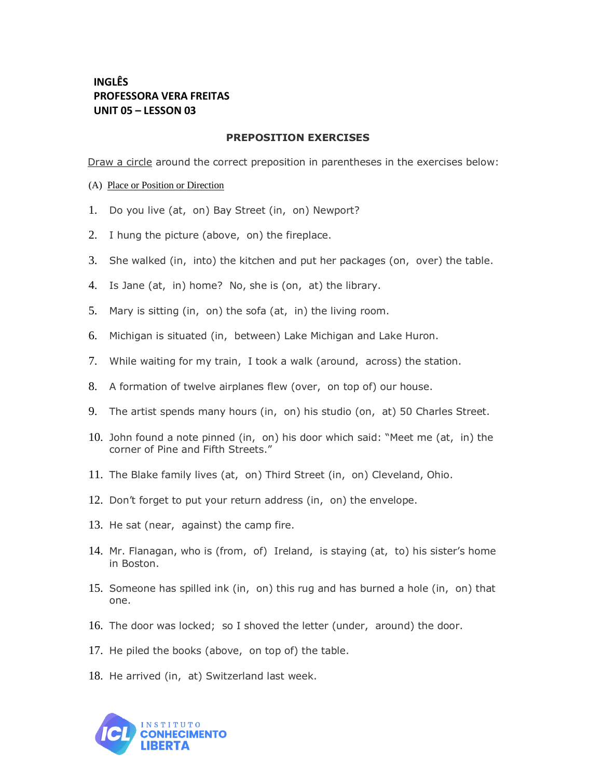## **INGLÊS PROFESSORA VERA FREITAS UNIT 05 – LESSON 03**

## **PREPOSITION EXERCISES**

Draw a circle around the correct preposition in parentheses in the exercises below:

(A) Place or Position or Direction

- 1. Do you live (at, on) Bay Street (in, on) Newport?
- 2. I hung the picture (above, on) the fireplace.
- 3. She walked (in, into) the kitchen and put her packages (on, over) the table.
- 4. Is Jane (at, in) home? No, she is (on, at) the library.
- 5. Mary is sitting (in, on) the sofa (at, in) the living room.
- 6. Michigan is situated (in, between) Lake Michigan and Lake Huron.
- 7. While waiting for my train, I took a walk (around, across) the station.
- 8. A formation of twelve airplanes flew (over, on top of) our house.
- 9. The artist spends many hours (in, on) his studio (on, at) 50 Charles Street.
- 10. John found a note pinned (in, on) his door which said: "Meet me (at, in) the corner of Pine and Fifth Streets."
- 11. The Blake family lives (at, on) Third Street (in, on) Cleveland, Ohio.
- 12. Don't forget to put your return address (in, on) the envelope.
- 13. He sat (near, against) the camp fire.
- 14. Mr. Flanagan, who is (from, of) Ireland, is staying (at, to) his sister's home in Boston.
- 15. Someone has spilled ink (in, on) this rug and has burned a hole (in, on) that one.
- 16. The door was locked; so I shoved the letter (under, around) the door.
- 17. He piled the books (above, on top of) the table.
- 18. He arrived (in, at) Switzerland last week.

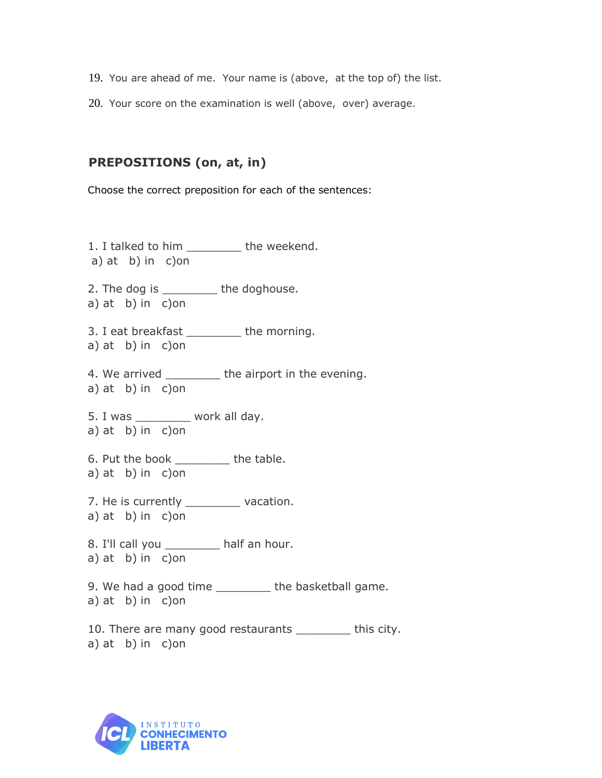- 19. You are ahead of me. Your name is (above, at the top of) the list.
- 20. Your score on the examination is well (above, over) average.

## **PREPOSITIONS (on, at, in)**

Choose the correct preposition for each of the sentences:

1. I talked to him \_\_\_\_\_\_\_\_ the weekend. a) at b) in c)on 2. The dog is \_\_\_\_\_\_\_\_\_ the doghouse. a) at b) in c)on 3. I eat breakfast the morning. a) at b) in c)on 4. We arrived \_\_\_\_\_\_\_\_\_\_ the airport in the evening. a) at b) in c)on 5. I was \_\_\_\_\_\_\_\_ work all day. a) at b) in c)on 6. Put the book \_\_\_\_\_\_\_\_ the table. a) at b) in c)on 7. He is currently \_\_\_\_\_\_\_\_\_ vacation. a) at b) in c)on 8. I'll call you \_\_\_\_\_\_\_\_ half an hour. a) at b) in c)on 9. We had a good time \_\_\_\_\_\_\_\_ the basketball game. a) at b) in c)on

10. There are many good restaurants \_\_\_\_\_\_\_\_\_ this city. a) at b) in c)on

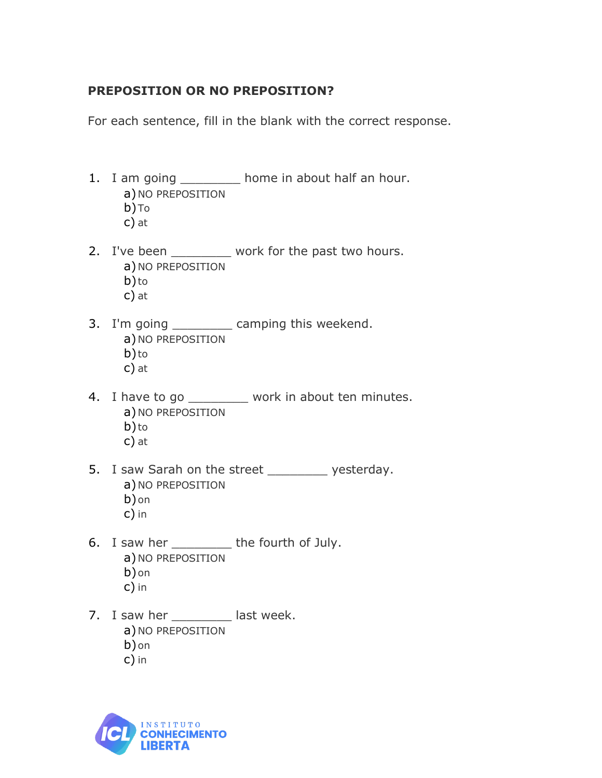## **PREPOSITION OR NO PREPOSITION?**

For each sentence, fill in the blank with the correct response.

- 1. I am going \_\_\_\_\_\_\_\_\_ home in about half an hour. a) NO PREPOSITION b)To
	- c) at
- 2. I've been \_\_\_\_\_\_\_\_ work for the past two hours. a) NO PREPOSITION b)to
	- c) at
- 3. I'm going \_\_\_\_\_\_\_\_ camping this weekend. a) NO PREPOSITION b)to c) at
- 4. I have to go \_\_\_\_\_\_\_\_ work in about ten minutes. a) NO PREPOSITION b) to c) at
- 5. I saw Sarah on the street yesterday. a) NO PREPOSITION b)on c) in
- 6. I saw her \_\_\_\_\_\_\_ the fourth of July. a) NO PREPOSITION b)on c) in
- 7. I saw her \_\_\_\_\_\_\_\_ last week. a) NO PREPOSITION b)on c) in